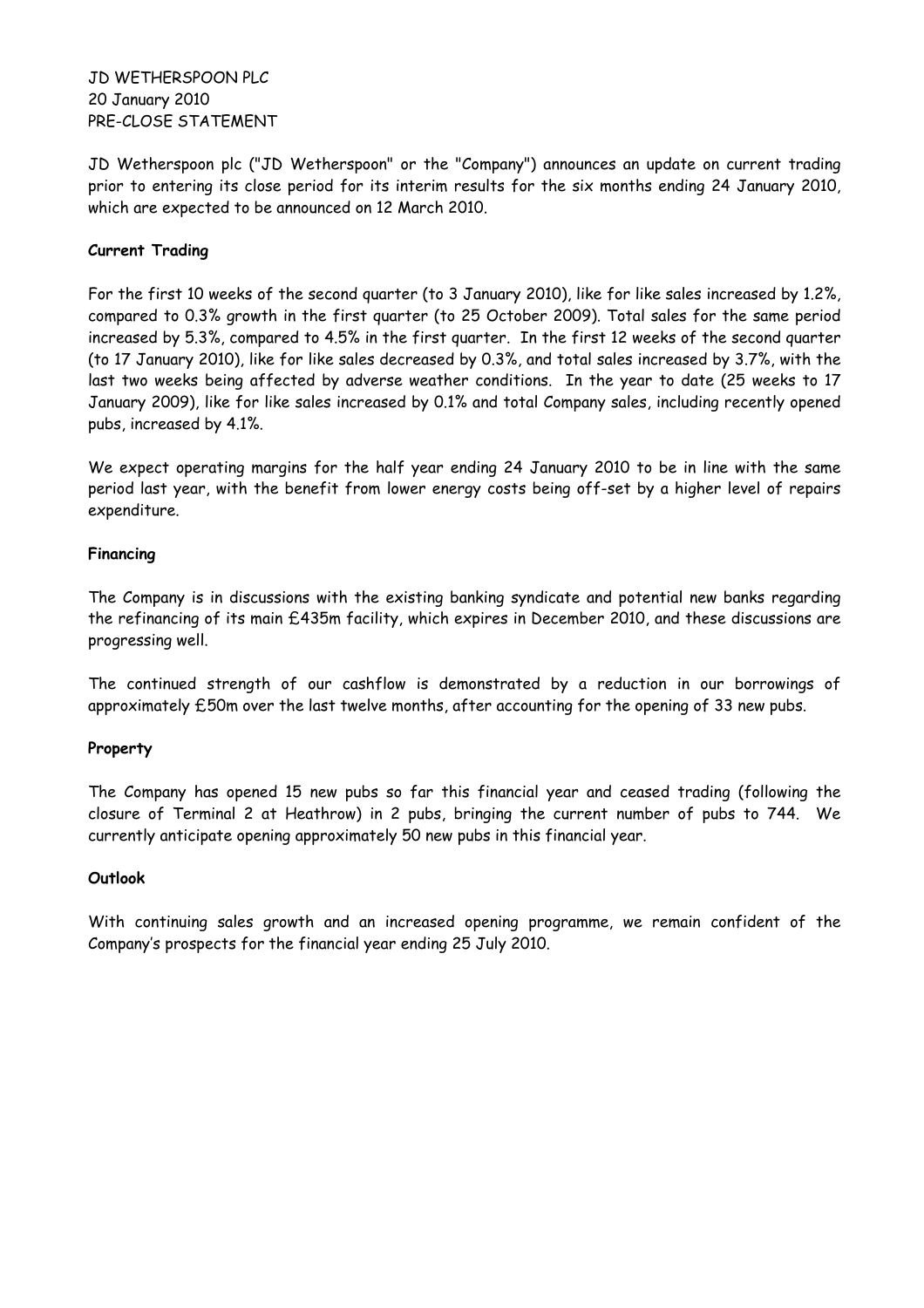JD WETHERSPOON PLC 20 January 2010 PRE-CLOSE STATEMENT

JD Wetherspoon plc ("JD Wetherspoon" or the "Company") announces an update on current trading prior to entering its close period for its interim results for the six months ending 24 January 2010, which are expected to be announced on 12 March 2010.

# **Current Trading**

For the first 10 weeks of the second quarter (to 3 January 2010), like for like sales increased by 1.2%, compared to 0.3% growth in the first quarter (to 25 October 2009). Total sales for the same period increased by 5.3%, compared to 4.5% in the first quarter. In the first 12 weeks of the second quarter (to 17 January 2010), like for like sales decreased by 0.3%, and total sales increased by 3.7%, with the last two weeks being affected by adverse weather conditions. In the year to date (25 weeks to 17 January 2009), like for like sales increased by 0.1% and total Company sales, including recently opened pubs, increased by 4.1%.

We expect operating margins for the half year ending 24 January 2010 to be in line with the same period last year, with the benefit from lower energy costs being off-set by a higher level of repairs expenditure.

### **Financing**

The Company is in discussions with the existing banking syndicate and potential new banks regarding the refinancing of its main £435m facility, which expires in December 2010, and these discussions are progressing well.

The continued strength of our cashflow is demonstrated by a reduction in our borrowings of approximately £50m over the last twelve months, after accounting for the opening of 33 new pubs.

### **Property**

The Company has opened 15 new pubs so far this financial year and ceased trading (following the closure of Terminal 2 at Heathrow) in 2 pubs, bringing the current number of pubs to 744. We currently anticipate opening approximately 50 new pubs in this financial year.

## **Outlook**

With continuing sales growth and an increased opening programme, we remain confident of the Company's prospects for the financial year ending 25 July 2010.